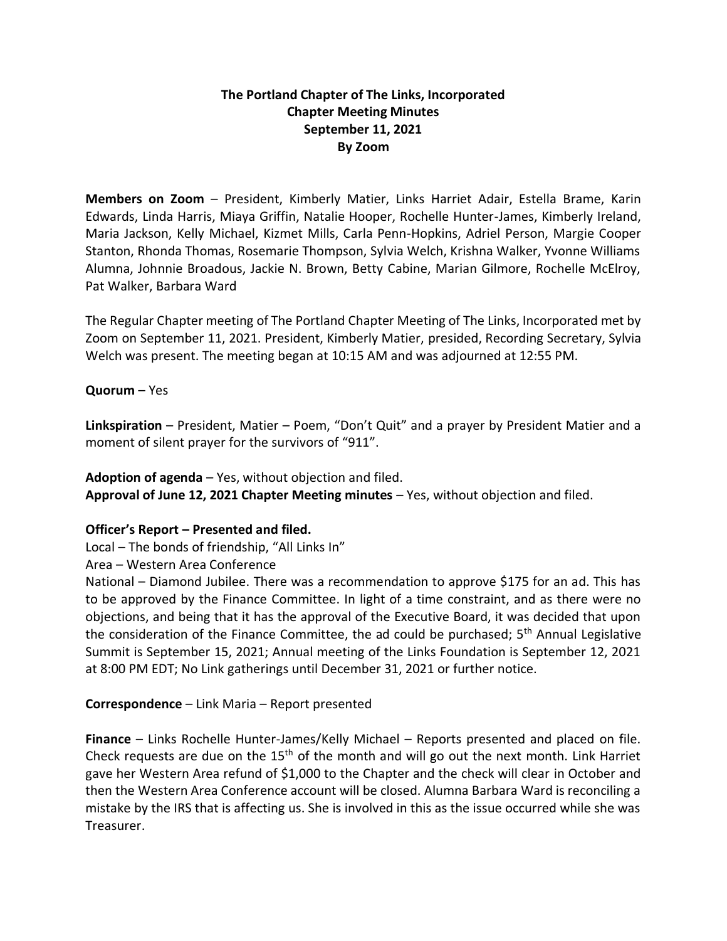# **The Portland Chapter of The Links, Incorporated Chapter Meeting Minutes September 11, 2021 By Zoom**

**Members on Zoom** – President, Kimberly Matier, Links Harriet Adair, Estella Brame, Karin Edwards, Linda Harris, Miaya Griffin, Natalie Hooper, Rochelle Hunter-James, Kimberly Ireland, Maria Jackson, Kelly Michael, Kizmet Mills, Carla Penn-Hopkins, Adriel Person, Margie Cooper Stanton, Rhonda Thomas, Rosemarie Thompson, Sylvia Welch, Krishna Walker, Yvonne Williams Alumna, Johnnie Broadous, Jackie N. Brown, Betty Cabine, Marian Gilmore, Rochelle McElroy, Pat Walker, Barbara Ward

The Regular Chapter meeting of The Portland Chapter Meeting of The Links, Incorporated met by Zoom on September 11, 2021. President, Kimberly Matier, presided, Recording Secretary, Sylvia Welch was present. The meeting began at 10:15 AM and was adjourned at 12:55 PM.

### **Quorum** – Yes

**Linkspiration** – President, Matier – Poem, "Don't Quit" and a prayer by President Matier and a moment of silent prayer for the survivors of "911".

**Adoption of agenda** – Yes, without objection and filed. **Approval of June 12, 2021 Chapter Meeting minutes** – Yes, without objection and filed.

### **Officer's Report – Presented and filed.**

Local – The bonds of friendship, "All Links In"

Area – Western Area Conference

National – Diamond Jubilee. There was a recommendation to approve \$175 for an ad. This has to be approved by the Finance Committee. In light of a time constraint, and as there were no objections, and being that it has the approval of the Executive Board, it was decided that upon the consideration of the Finance Committee, the ad could be purchased;  $5<sup>th</sup>$  Annual Legislative Summit is September 15, 2021; Annual meeting of the Links Foundation is September 12, 2021 at 8:00 PM EDT; No Link gatherings until December 31, 2021 or further notice.

## **Correspondence** – Link Maria – Report presented

**Finance** – Links Rochelle Hunter-James/Kelly Michael – Reports presented and placed on file. Check requests are due on the 15th of the month and will go out the next month. Link Harriet gave her Western Area refund of \$1,000 to the Chapter and the check will clear in October and then the Western Area Conference account will be closed. Alumna Barbara Ward is reconciling a mistake by the IRS that is affecting us. She is involved in this as the issue occurred while she was Treasurer.